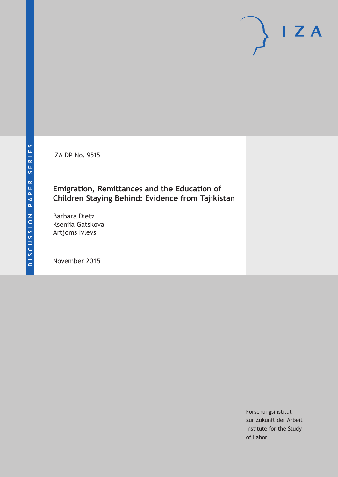IZA DP No. 9515

### **Emigration, Remittances and the Education of Children Staying Behind: Evidence from Tajikistan**

Barbara Dietz Kseniia Gatskova Artjoms Ivlevs

November 2015

Forschungsinstitut zur Zukunft der Arbeit Institute for the Study of Labor

 $I Z A$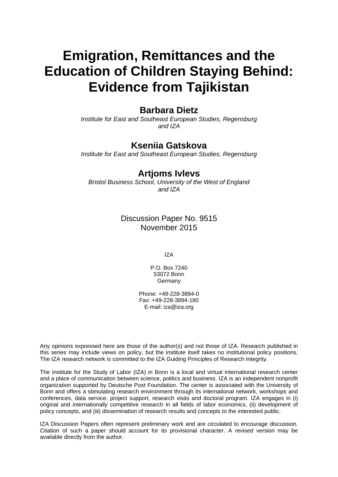# **Emigration, Remittances and the Education of Children Staying Behind: Evidence from Tajikistan**

### **Barbara Dietz**

*Institute for East and Southeast European Studies, Regensburg and IZA* 

### **Kseniia Gatskova**

*Institute for East and Southeast European Studies, Regensburg* 

### **Artjoms Ivlevs**

*Bristol Business School, University of the West of England and IZA*

> Discussion Paper No. 9515 November 2015

> > IZA

P.O. Box 7240 53072 Bonn Germany

Phone: +49-228-3894-0 Fax: +49-228-3894-180 E-mail: iza@iza.org

Any opinions expressed here are those of the author(s) and not those of IZA. Research published in this series may include views on policy, but the institute itself takes no institutional policy positions. The IZA research network is committed to the IZA Guiding Principles of Research Integrity.

The Institute for the Study of Labor (IZA) in Bonn is a local and virtual international research center and a place of communication between science, politics and business. IZA is an independent nonprofit organization supported by Deutsche Post Foundation. The center is associated with the University of Bonn and offers a stimulating research environment through its international network, workshops and conferences, data service, project support, research visits and doctoral program. IZA engages in (i) original and internationally competitive research in all fields of labor economics, (ii) development of policy concepts, and (iii) dissemination of research results and concepts to the interested public.

IZA Discussion Papers often represent preliminary work and are circulated to encourage discussion. Citation of such a paper should account for its provisional character. A revised version may be available directly from the author.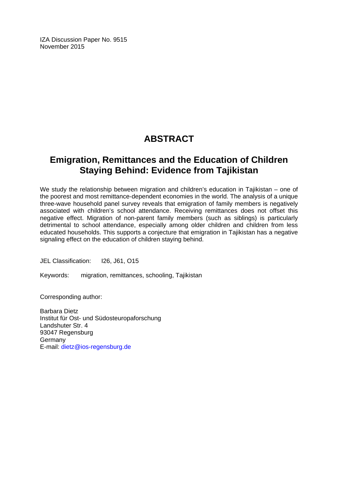IZA Discussion Paper No. 9515 November 2015

# **ABSTRACT**

## **Emigration, Remittances and the Education of Children Staying Behind: Evidence from Tajikistan**

We study the relationship between migration and children's education in Tajikistan – one of the poorest and most remittance-dependent economies in the world. The analysis of a unique three-wave household panel survey reveals that emigration of family members is negatively associated with children's school attendance. Receiving remittances does not offset this negative effect. Migration of non-parent family members (such as siblings) is particularly detrimental to school attendance, especially among older children and children from less educated households. This supports a conjecture that emigration in Tajikistan has a negative signaling effect on the education of children staying behind.

JEL Classification: I26, J61, O15

Keywords: migration, remittances, schooling, Tajikistan

Corresponding author:

Barbara Dietz Institut für Ost- und Südosteuropaforschung Landshuter Str. 4 93047 Regensburg **Germany** E-mail: dietz@ios-regensburg.de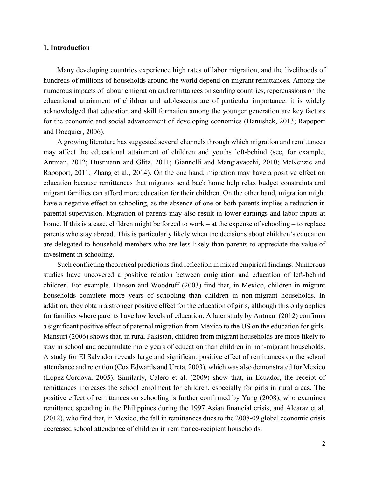#### **1. Introduction**

Many developing countries experience high rates of labor migration, and the livelihoods of hundreds of millions of households around the world depend on migrant remittances. Among the numerous impacts of labour emigration and remittances on sending countries, repercussions on the educational attainment of children and adolescents are of particular importance: it is widely acknowledged that education and skill formation among the younger generation are key factors for the economic and social advancement of developing economies (Hanushek, 2013; Rapoport and Docquier, 2006).

A growing literature has suggested several channels through which migration and remittances may affect the educational attainment of children and youths left-behind (see, for example, Antman, 2012; Dustmann and Glitz, 2011; Giannelli and Mangiavacchi, 2010; McKenzie and Rapoport, 2011; Zhang et al., 2014). On the one hand, migration may have a positive effect on education because remittances that migrants send back home help relax budget constraints and migrant families can afford more education for their children. On the other hand, migration might have a negative effect on schooling, as the absence of one or both parents implies a reduction in parental supervision. Migration of parents may also result in lower earnings and labor inputs at home. If this is a case, children might be forced to work – at the expense of schooling – to replace parents who stay abroad. This is particularly likely when the decisions about children's education are delegated to household members who are less likely than parents to appreciate the value of investment in schooling.

Such conflicting theoretical predictions find reflection in mixed empirical findings. Numerous studies have uncovered a positive relation between emigration and education of left-behind children. For example, Hanson and Woodruff (2003) find that, in Mexico, children in migrant households complete more years of schooling than children in non-migrant households. In addition, they obtain a stronger positive effect for the education of girls, although this only applies for families where parents have low levels of education. A later study by Antman (2012) confirms a significant positive effect of paternal migration from Mexico to the US on the education for girls. Mansuri (2006) shows that, in rural Pakistan, children from migrant households are more likely to stay in school and accumulate more years of education than children in non-migrant households. A study for El Salvador reveals large and significant positive effect of remittances on the school attendance and retention (Cox Edwards and Ureta, 2003), which was also demonstrated for Mexico (Lopez-Cordova, 2005). Similarly, Calero et al. (2009) show that, in Ecuador, the receipt of remittances increases the school enrolment for children, especially for girls in rural areas. The positive effect of remittances on schooling is further confirmed by Yang (2008), who examines remittance spending in the Philippines during the 1997 Asian financial crisis, and Alcaraz et al. (2012), who find that, in Mexico, the fall in remittances dues to the 2008-09 global economic crisis decreased school attendance of children in remittance-recipient households.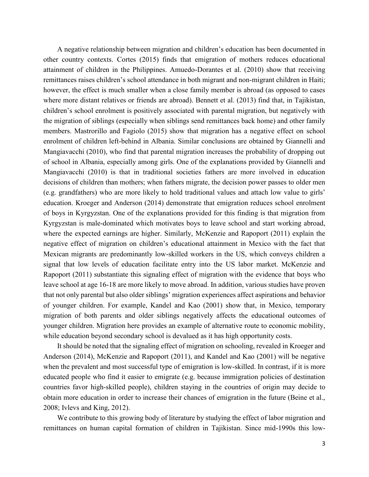A negative relationship between migration and children's education has been documented in other country contexts. Cortes (2015) finds that emigration of mothers reduces educational attainment of children in the Philippines. Amuedo-Dorantes et al. (2010) show that receiving remittances raises children's school attendance in both migrant and non-migrant children in Haiti; however, the effect is much smaller when a close family member is abroad (as opposed to cases where more distant relatives or friends are abroad). Bennett et al. (2013) find that, in Tajikistan, children's school enrolment is positively associated with parental migration, but negatively with the migration of siblings (especially when siblings send remittances back home) and other family members. Mastrorillo and Fagiolo (2015) show that migration has a negative effect on school enrolment of children left-behind in Albania. Similar conclusions are obtained by Giannelli and Mangiavacchi (2010), who find that parental migration increases the probability of dropping out of school in Albania, especially among girls. One of the explanations provided by Giannelli and Mangiavacchi (2010) is that in traditional societies fathers are more involved in education decisions of children than mothers; when fathers migrate, the decision power passes to older men (e.g. grandfathers) who are more likely to hold traditional values and attach low value to girls' education. Kroeger and Anderson (2014) demonstrate that emigration reduces school enrolment of boys in Kyrgyzstan. One of the explanations provided for this finding is that migration from Kyrgyzstan is male-dominated which motivates boys to leave school and start working abroad, where the expected earnings are higher. Similarly, McKenzie and Rapoport (2011) explain the negative effect of migration on children's educational attainment in Mexico with the fact that Mexican migrants are predominantly low-skilled workers in the US, which conveys children a signal that low levels of education facilitate entry into the US labor market. McKenzie and Rapoport (2011) substantiate this signaling effect of migration with the evidence that boys who leave school at age 16-18 are more likely to move abroad. In addition, various studies have proven that not only parental but also older siblings' migration experiences affect aspirations and behavior of younger children. For example, Kandel and Kao (2001) show that, in Mexico, temporary migration of both parents and older siblings negatively affects the educational outcomes of younger children. Migration here provides an example of alternative route to economic mobility, while education beyond secondary school is devalued as it has high opportunity costs.

It should be noted that the signaling effect of migration on schooling, revealed in Kroeger and Anderson (2014), McKenzie and Rapoport (2011), and Kandel and Kao (2001) will be negative when the prevalent and most successful type of emigration is low-skilled. In contrast, if it is more educated people who find it easier to emigrate (e.g. because immigration policies of destination countries favor high-skilled people), children staying in the countries of origin may decide to obtain more education in order to increase their chances of emigration in the future (Beine et al., 2008; Ivlevs and King, 2012).

We contribute to this growing body of literature by studying the effect of labor migration and remittances on human capital formation of children in Tajikistan. Since mid-1990s this low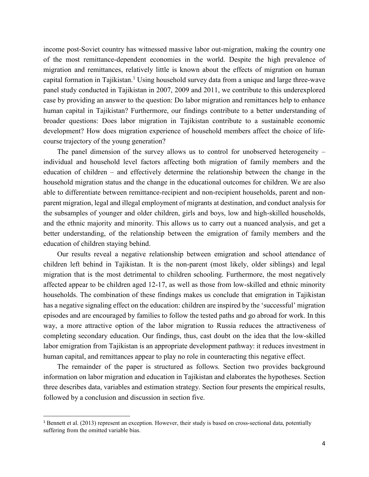income post-Soviet country has witnessed massive labor out-migration, making the country one of the most remittance-dependent economies in the world. Despite the high prevalence of migration and remittances, relatively little is known about the effects of migration on human capital formation in Tajikistan.<sup>1</sup> Using household survey data from a unique and large three-wave panel study conducted in Tajikistan in 2007, 2009 and 2011, we contribute to this underexplored case by providing an answer to the question: Do labor migration and remittances help to enhance human capital in Tajikistan? Furthermore, our findings contribute to a better understanding of broader questions: Does labor migration in Tajikistan contribute to a sustainable economic development? How does migration experience of household members affect the choice of lifecourse trajectory of the young generation?

The panel dimension of the survey allows us to control for unobserved heterogeneity – individual and household level factors affecting both migration of family members and the education of children – and effectively determine the relationship between the change in the household migration status and the change in the educational outcomes for children. We are also able to differentiate between remittance-recipient and non-recipient households, parent and nonparent migration, legal and illegal employment of migrants at destination, and conduct analysis for the subsamples of younger and older children, girls and boys, low and high-skilled households, and the ethnic majority and minority. This allows us to carry out a nuanced analysis, and get a better understanding, of the relationship between the emigration of family members and the education of children staying behind.

Our results reveal a negative relationship between emigration and school attendance of children left behind in Tajikistan. It is the non-parent (most likely, older siblings) and legal migration that is the most detrimental to children schooling. Furthermore, the most negatively affected appear to be children aged 12-17, as well as those from low-skilled and ethnic minority households. The combination of these findings makes us conclude that emigration in Tajikistan has a negative signaling effect on the education: children are inspired by the 'successful' migration episodes and are encouraged by families to follow the tested paths and go abroad for work. In this way, a more attractive option of the labor migration to Russia reduces the attractiveness of completing secondary education. Our findings, thus, cast doubt on the idea that the low-skilled labor emigration from Tajikistan is an appropriate development pathway: it reduces investment in human capital, and remittances appear to play no role in counteracting this negative effect.

The remainder of the paper is structured as follows. Section two provides background information on labor migration and education in Tajikistan and elaborates the hypotheses. Section three describes data, variables and estimation strategy. Section four presents the empirical results, followed by a conclusion and discussion in section five.

l

<sup>&</sup>lt;sup>1</sup> Bennett et al. (2013) represent an exception. However, their study is based on cross-sectional data, potentially suffering from the omitted variable bias.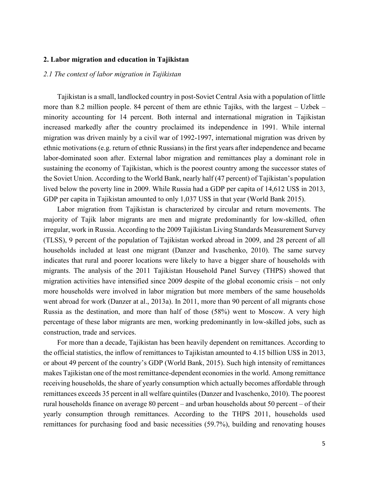#### **2. Labor migration and education in Tajikistan**

#### *2.1 The context of labor migration in Tajikistan*

Tajikistan is a small, landlocked country in post-Soviet Central Asia with a population of little more than 8.2 million people. 84 percent of them are ethnic Tajiks, with the largest – Uzbek – minority accounting for 14 percent. Both internal and international migration in Tajikistan increased markedly after the country proclaimed its independence in 1991. While internal migration was driven mainly by a civil war of 1992-1997, international migration was driven by ethnic motivations (e.g. return of ethnic Russians) in the first years after independence and became labor-dominated soon after. External labor migration and remittances play a dominant role in sustaining the economy of Tajikistan, which is the poorest country among the successor states of the Soviet Union. According to the World Bank, nearly half (47 percent) of Tajikistan's population lived below the poverty line in 2009. While Russia had a GDP per capita of 14,612 US\$ in 2013, GDP per capita in Tajikistan amounted to only 1,037 US\$ in that year (World Bank 2015).

Labor migration from Tajikistan is characterized by circular and return movements. The majority of Tajik labor migrants are men and migrate predominantly for low-skilled, often irregular, work in Russia. According to the 2009 Tajikistan Living Standards Measurement Survey (TLSS), 9 percent of the population of Tajikistan worked abroad in 2009, and 28 percent of all households included at least one migrant (Danzer and Ivaschenko, 2010). The same survey indicates that rural and poorer locations were likely to have a bigger share of households with migrants. The analysis of the 2011 Tajikistan Household Panel Survey (THPS) showed that migration activities have intensified since 2009 despite of the global economic crisis – not only more households were involved in labor migration but more members of the same households went abroad for work (Danzer at al., 2013a). In 2011, more than 90 percent of all migrants chose Russia as the destination, and more than half of those (58%) went to Moscow. A very high percentage of these labor migrants are men, working predominantly in low-skilled jobs, such as construction, trade and services.

For more than a decade, Tajikistan has been heavily dependent on remittances. According to the official statistics, the inflow of remittances to Tajikistan amounted to 4.15 billion US\$ in 2013, or about 49 percent of the country's GDP (World Bank, 2015). Such high intensity of remittances makes Tajikistan one of the most remittance-dependent economies in the world. Among remittance receiving households, the share of yearly consumption which actually becomes affordable through remittances exceeds 35 percent in all welfare quintiles (Danzer and Ivaschenko, 2010). The poorest rural households finance on average 80 percent – and urban households about 50 percent – of their yearly consumption through remittances. According to the THPS 2011, households used remittances for purchasing food and basic necessities (59.7%), building and renovating houses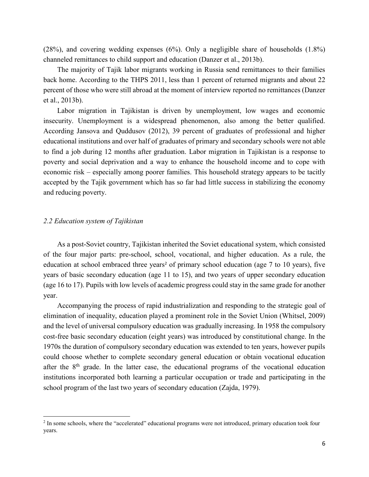(28%), and covering wedding expenses (6%). Only a negligible share of households (1.8%) channeled remittances to child support and education (Danzer et al., 2013b).

The majority of Tajik labor migrants working in Russia send remittances to their families back home. According to the THPS 2011, less than 1 percent of returned migrants and about 22 percent of those who were still abroad at the moment of interview reported no remittances (Danzer et al., 2013b).

Labor migration in Tajikistan is driven by unemployment, low wages and economic insecurity. Unemployment is a widespread phenomenon, also among the better qualified. According Jansova and Quddusov (2012), 39 percent of graduates of professional and higher educational institutions and over half of graduates of primary and secondary schools were not able to find a job during 12 months after graduation. Labor migration in Tajikistan is a response to poverty and social deprivation and a way to enhance the household income and to cope with economic risk – especially among poorer families. This household strategy appears to be tacitly accepted by the Tajik government which has so far had little success in stabilizing the economy and reducing poverty.

#### *2.2 Education system of Tajikistan*

 $\overline{\phantom{a}}$ 

As a post-Soviet country, Tajikistan inherited the Soviet educational system, which consisted of the four major parts: pre-school, school, vocational, and higher education. As a rule, the education at school embraced three years<sup>2</sup> of primary school education (age  $7$  to 10 years), five years of basic secondary education (age 11 to 15), and two years of upper secondary education (age 16 to 17). Pupils with low levels of academic progress could stay in the same grade for another year.

Accompanying the process of rapid industrialization and responding to the strategic goal of elimination of inequality, education played a prominent role in the Soviet Union (Whitsel, 2009) and the level of universal compulsory education was gradually increasing. In 1958 the compulsory cost-free basic secondary education (eight years) was introduced by constitutional change. In the 1970s the duration of compulsory secondary education was extended to ten years, however pupils could choose whether to complete secondary general education or obtain vocational education after the  $8<sup>th</sup>$  grade. In the latter case, the educational programs of the vocational education institutions incorporated both learning a particular occupation or trade and participating in the school program of the last two years of secondary education (Zajda, 1979).

<sup>&</sup>lt;sup>2</sup> In some schools, where the "accelerated" educational programs were not introduced, primary education took four years.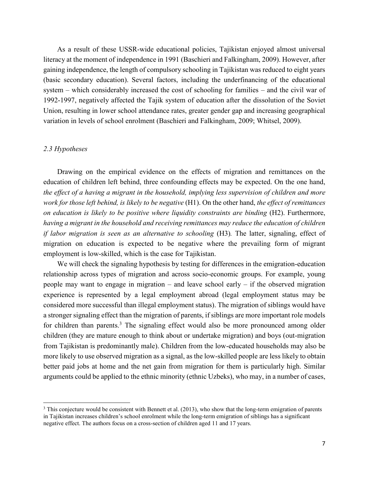As a result of these USSR-wide educational policies, Tajikistan enjoyed almost universal literacy at the moment of independence in 1991 (Baschieri and Falkingham, 2009). However, after gaining independence, the length of compulsory schooling in Tajikistan was reduced to eight years (basic secondary education). Several factors, including the underfinancing of the educational system – which considerably increased the cost of schooling for families – and the civil war of 1992-1997, negatively affected the Tajik system of education after the dissolution of the Soviet Union, resulting in lower school attendance rates, greater gender gap and increasing geographical variation in levels of school enrolment (Baschieri and Falkingham, 2009; Whitsel, 2009).

#### *2.3 Hypotheses*

 $\overline{\phantom{a}}$ 

Drawing on the empirical evidence on the effects of migration and remittances on the education of children left behind, three confounding effects may be expected. On the one hand, *the effect of a having a migrant in the household, implying less supervision of children and more work for those left behind, is likely to be negative* (H1). On the other hand, *the effect of remittances on education is likely to be positive where liquidity constraints are binding* (H2). Furthermore, *having a migrant in the household and receiving remittances may reduce the education of children if labor migration is seen as an alternative to schooling* (H3)*.* The latter, signaling, effect of migration on education is expected to be negative where the prevailing form of migrant employment is low-skilled, which is the case for Tajikistan.

We will check the signaling hypothesis by testing for differences in the emigration-education relationship across types of migration and across socio-economic groups. For example, young people may want to engage in migration – and leave school early – if the observed migration experience is represented by a legal employment abroad (legal employment status may be considered more successful than illegal employment status). The migration of siblings would have a stronger signaling effect than the migration of parents, if siblings are more important role models for children than parents. $3$  The signaling effect would also be more pronounced among older children (they are mature enough to think about or undertake migration) and boys (out-migration from Tajikistan is predominantly male). Children from the low-educated households may also be more likely to use observed migration as a signal, as the low-skilled people are less likely to obtain better paid jobs at home and the net gain from migration for them is particularly high. Similar arguments could be applied to the ethnic minority (ethnic Uzbeks), who may, in a number of cases,

<sup>&</sup>lt;sup>3</sup> This conjecture would be consistent with Bennett et al. (2013), who show that the long-term emigration of parents in Tajikistan increases children's school enrolment while the long-term emigration of siblings has a significant negative effect. The authors focus on a cross-section of children aged 11 and 17 years.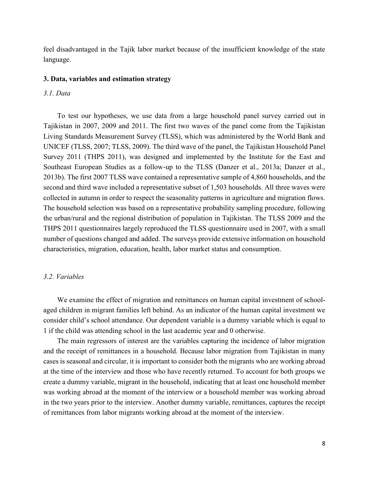feel disadvantaged in the Tajik labor market because of the insufficient knowledge of the state language.

#### **3. Data, variables and estimation strategy**

#### *3.1. Data*

To test our hypotheses, we use data from a large household panel survey carried out in Tajikistan in 2007, 2009 and 2011. The first two waves of the panel come from the Tajikistan Living Standards Measurement Survey (TLSS), which was administered by the World Bank and UNICEF (TLSS, 2007; TLSS, 2009). The third wave of the panel, the Tajikistan Household Panel Survey 2011 (THPS 2011), was designed and implemented by the Institute for the East and Southeast European Studies as a follow-up to the TLSS (Danzer et al., 2013a; Danzer et al., 2013b). The first 2007 TLSS wave contained a representative sample of 4,860 households, and the second and third wave included a representative subset of 1,503 households. All three waves were collected in autumn in order to respect the seasonality patterns in agriculture and migration flows. The household selection was based on a representative probability sampling procedure, following the urban/rural and the regional distribution of population in Tajikistan. The TLSS 2009 and the THPS 2011 questionnaires largely reproduced the TLSS questionnaire used in 2007, with a small number of questions changed and added. The surveys provide extensive information on household characteristics, migration, education, health, labor market status and consumption.

#### *3.2. Variables*

We examine the effect of migration and remittances on human capital investment of schoolaged children in migrant families left behind. As an indicator of the human capital investment we consider child's school attendance. Our dependent variable is a dummy variable which is equal to 1 if the child was attending school in the last academic year and 0 otherwise.

The main regressors of interest are the variables capturing the incidence of labor migration and the receipt of remittances in a household. Because labor migration from Tajikistan in many cases is seasonal and circular, it is important to consider both the migrants who are working abroad at the time of the interview and those who have recently returned. To account for both groups we create a dummy variable, migrant in the household, indicating that at least one household member was working abroad at the moment of the interview or a household member was working abroad in the two years prior to the interview. Another dummy variable, remittances, captures the receipt of remittances from labor migrants working abroad at the moment of the interview.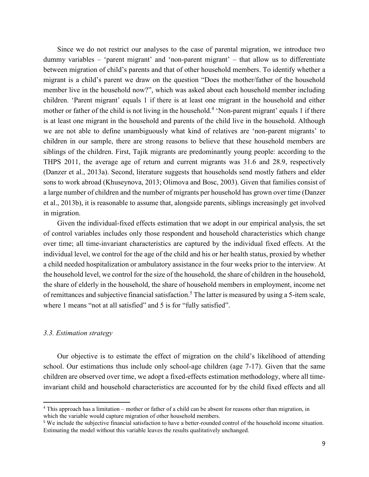Since we do not restrict our analyses to the case of parental migration, we introduce two dummy variables – 'parent migrant' and 'non-parent migrant' – that allow us to differentiate between migration of child's parents and that of other household members. To identify whether a migrant is a child's parent we draw on the question "Does the mother/father of the household member live in the household now?", which was asked about each household member including children. 'Parent migrant' equals 1 if there is at least one migrant in the household and either mother or father of the child is not living in the household.<sup>4</sup> 'Non-parent migrant' equals 1 if there is at least one migrant in the household and parents of the child live in the household. Although we are not able to define unambiguously what kind of relatives are 'non-parent migrants' to children in our sample, there are strong reasons to believe that these household members are siblings of the children. First, Tajik migrants are predominantly young people: according to the THPS 2011, the average age of return and current migrants was 31.6 and 28.9, respectively (Danzer et al., 2013a). Second, literature suggests that households send mostly fathers and elder sons to work abroad (Khuseynova, 2013; Olimova and Bosc, 2003). Given that families consist of a large number of children and the number of migrants per household has grown over time (Danzer et al., 2013b), it is reasonable to assume that, alongside parents, siblings increasingly get involved in migration.

Given the individual-fixed effects estimation that we adopt in our empirical analysis, the set of control variables includes only those respondent and household characteristics which change over time; all time-invariant characteristics are captured by the individual fixed effects. At the individual level, we control for the age of the child and his or her health status, proxied by whether a child needed hospitalization or ambulatory assistance in the four weeks prior to the interview. At the household level, we control for the size of the household, the share of children in the household, the share of elderly in the household, the share of household members in employment, income net of remittances and subjective financial satisfaction.<sup>5</sup> The latter is measured by using a 5-item scale, where 1 means "not at all satisfied" and 5 is for "fully satisfied".

#### *3.3. Estimation strategy*

 $\overline{\phantom{a}}$ 

Our objective is to estimate the effect of migration on the child's likelihood of attending school. Our estimations thus include only school-age children (age 7-17). Given that the same children are observed over time, we adopt a fixed-effects estimation methodology, where all timeinvariant child and household characteristics are accounted for by the child fixed effects and all

<sup>4</sup> This approach has a limitation – mother or father of a child can be absent for reasons other than migration, in which the variable would capture migration of other household members.

<sup>5</sup> We include the subjective financial satisfaction to have a better-rounded control of the household income situation. Estimating the model without this variable leaves the results qualitatively unchanged.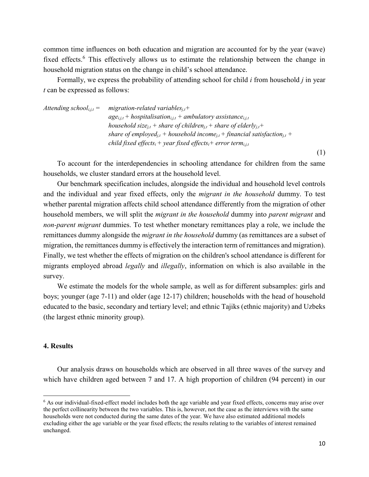common time influences on both education and migration are accounted for by the year (wave) fixed effects.<sup>6</sup> This effectively allows us to estimate the relationship between the change in household migration status on the change in child's school attendance.

Formally, we express the probability of attending school for child *i* from household *j* in year *t* can be expressed as follows:

*Attending school*<sub>*i,j,t*</sub> = *migration-related variables*<sub>*j,t</sub>* +</sub>  $age_{i,j,t}$  + hospitalisation<sub>i,j,t</sub> + ambulatory assistance<sub>*i,j,t*</sub> *household size*<sub>*j,t</sub>* + *share of children*<sub>*j,t*</sub> + *share of elderly*<sub>*j,t*</sub> +</sub> *share of employed*<sub>*j,t</sub>*  $+$  *household income*<sub>*j,t*</sub>  $+$  *financial satisfaction*<sub>*j,t*</sub>  $+$ </sub> *child fixed effects<sub>i</sub></sub> + year fixed effects<sub>i</sub> + error term<sub><i>i,j,t*</sub>

To account for the interdependencies in schooling attendance for children from the same households, we cluster standard errors at the household level.

Our benchmark specification includes, alongside the individual and household level controls and the individual and year fixed effects, only the *migrant in the household* dummy. To test whether parental migration affects child school attendance differently from the migration of other household members, we will split the *migrant in the household* dummy into *parent migrant* and *non-parent migrant* dummies. To test whether monetary remittances play a role, we include the remittances dummy alongside the *migrant in the household* dummy (as remittances are a subset of migration, the remittances dummy is effectively the interaction term of remittances and migration). Finally, we test whether the effects of migration on the children's school attendance is different for migrants employed abroad *legally* and *illegally*, information on which is also available in the survey.

We estimate the models for the whole sample, as well as for different subsamples: girls and boys; younger (age 7-11) and older (age 12-17) children; households with the head of household educated to the basic, secondary and tertiary level; and ethnic Tajiks (ethnic majority) and Uzbeks (the largest ethnic minority group).

#### **4. Results**

 $\overline{a}$ 

Our analysis draws on households which are observed in all three waves of the survey and which have children aged between 7 and 17. A high proportion of children (94 percent) in our

(1)

<sup>6</sup> As our individual-fixed-effect model includes both the age variable and year fixed effects, concerns may arise over the perfect collinearity between the two variables. This is, however, not the case as the interviews with the same households were not conducted during the same dates of the year. We have also estimated additional models excluding either the age variable or the year fixed effects; the results relating to the variables of interest remained unchanged.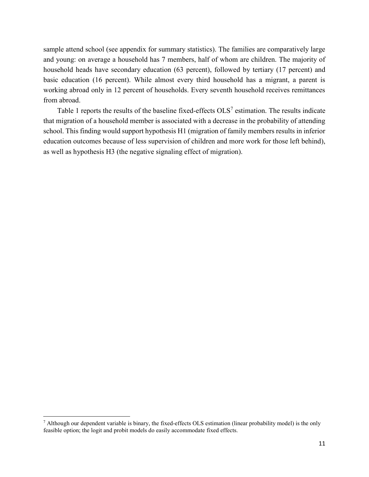sample attend school (see appendix for summary statistics). The families are comparatively large and young: on average a household has 7 members, half of whom are children. The majority of household heads have secondary education (63 percent), followed by tertiary (17 percent) and basic education (16 percent). While almost every third household has a migrant, a parent is working abroad only in 12 percent of households. Every seventh household receives remittances from abroad.

Table 1 reports the results of the baseline fixed-effects  $OLS^7$  estimation. The results indicate that migration of a household member is associated with a decrease in the probability of attending school. This finding would support hypothesis H1 (migration of family members results in inferior education outcomes because of less supervision of children and more work for those left behind), as well as hypothesis H3 (the negative signaling effect of migration).

 $\overline{\phantom{a}}$ 

<sup>7</sup> Although our dependent variable is binary, the fixed-effects OLS estimation (linear probability model) is the only feasible option; the logit and probit models do easily accommodate fixed effects.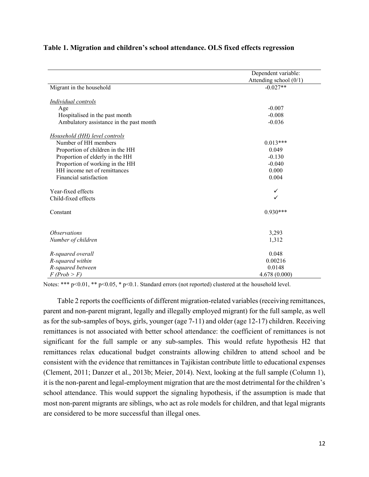|                                         | Dependent variable:    |  |  |
|-----------------------------------------|------------------------|--|--|
|                                         | Attending school (0/1) |  |  |
| Migrant in the household                | $-0.027**$             |  |  |
| <b>Individual controls</b>              |                        |  |  |
| Age                                     | $-0.007$               |  |  |
| Hospitalised in the past month          | $-0.008$               |  |  |
| Ambulatory assistance in the past month | $-0.036$               |  |  |
| Household (HH) level controls           |                        |  |  |
| Number of HH members                    | $0.013***$             |  |  |
| Proportion of children in the HH        | 0.049                  |  |  |
| Proportion of elderly in the HH         | $-0.130$               |  |  |
| Proportion of working in the HH         | $-0.040$               |  |  |
| HH income net of remittances            | 0.000                  |  |  |
| Financial satisfaction                  | 0.004                  |  |  |
| Year-fixed effects                      | ✓                      |  |  |
| Child-fixed effects                     | ✓                      |  |  |
| Constant                                | $0.930***$             |  |  |
| <i><b>Observations</b></i>              |                        |  |  |
|                                         | 3,293                  |  |  |
| Number of children                      | 1,312                  |  |  |
| R-squared overall                       | 0.048                  |  |  |
| R-squared within                        | 0.00216                |  |  |
| R-squared between                       | 0.0148                 |  |  |
| $F$ (Prob > F)                          | 4.678(0.000)           |  |  |

#### **Table 1. Migration and children's school attendance. OLS fixed effects regression**

Notes: \*\*\* p<0.01, \*\* p<0.05, \* p<0.1. Standard errors (not reported) clustered at the household level.

Table 2 reports the coefficients of different migration-related variables (receiving remittances, parent and non-parent migrant, legally and illegally employed migrant) for the full sample, as well as for the sub-samples of boys, girls, younger (age 7-11) and older (age 12-17) children. Receiving remittances is not associated with better school attendance: the coefficient of remittances is not significant for the full sample or any sub-samples. This would refute hypothesis H2 that remittances relax educational budget constraints allowing children to attend school and be consistent with the evidence that remittances in Tajikistan contribute little to educational expenses (Clement, 2011; Danzer et al., 2013b; Meier, 2014). Next, looking at the full sample (Column 1), it is the non-parent and legal-employment migration that are the most detrimental for the children's school attendance. This would support the signaling hypothesis, if the assumption is made that most non-parent migrants are siblings, who act as role models for children, and that legal migrants are considered to be more successful than illegal ones.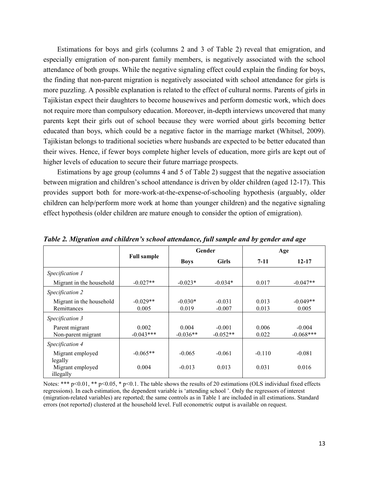Estimations for boys and girls (columns 2 and 3 of Table 2) reveal that emigration, and especially emigration of non-parent family members, is negatively associated with the school attendance of both groups. While the negative signaling effect could explain the finding for boys, the finding that non-parent migration is negatively associated with school attendance for girls is more puzzling. A possible explanation is related to the effect of cultural norms. Parents of girls in Tajikistan expect their daughters to become housewives and perform domestic work, which does not require more than compulsory education. Moreover, in-depth interviews uncovered that many parents kept their girls out of school because they were worried about girls becoming better educated than boys, which could be a negative factor in the marriage market (Whitsel, 2009). Tajikistan belongs to traditional societies where husbands are expected to be better educated than their wives. Hence, if fewer boys complete higher levels of education, more girls are kept out of higher levels of education to secure their future marriage prospects.

Estimations by age group (columns 4 and 5 of Table 2) suggest that the negative association between migration and children's school attendance is driven by older children (aged 12-17). This provides support both for more-work-at-the-expense-of-schooling hypothesis (arguably, older children can help/perform more work at home than younger children) and the negative signaling effect hypothesis (older children are mature enough to consider the option of emigration).

|                                         | <b>Full sample</b>   | Gender              |                        | Age            |                         |
|-----------------------------------------|----------------------|---------------------|------------------------|----------------|-------------------------|
|                                         |                      | <b>Boys</b>         | <b>Girls</b>           | $7-11$         | $12 - 17$               |
| Specification 1                         |                      |                     |                        |                |                         |
| Migrant in the household                | $-0.027**$           | $-0.023*$           | $-0.034*$              | 0.017          | $-0.047**$              |
| Specification 2                         |                      |                     |                        |                |                         |
| Migrant in the household<br>Remittances | $-0.029**$<br>0.005  | $-0.030*$<br>0.019  | $-0.031$<br>$-0.007$   | 0.013<br>0.013 | $-0.049**$<br>0.005     |
| Specification 3                         |                      |                     |                        |                |                         |
| Parent migrant<br>Non-parent migrant    | 0.002<br>$-0.043***$ | 0.004<br>$-0.036**$ | $-0.001$<br>$-0.052**$ | 0.006<br>0.022 | $-0.004$<br>$-0.068***$ |
| Specification 4                         |                      |                     |                        |                |                         |
| Migrant employed<br>legally             | $-0.065**$           | $-0.065$            | $-0.061$               | $-0.110$       | $-0.081$                |
| Migrant employed<br>illegally           | 0.004                | $-0.013$            | 0.013                  | 0.031          | 0.016                   |

*Table 2. Migration and children's school attendance, full sample and by gender and age*

Notes: \*\*\* p<0.01, \*\* p<0.05, \* p<0.1. The table shows the results of 20 estimations (OLS individual fixed effects regressions). In each estimation, the dependent variable is 'attending school '. Only the regressors of interest (migration-related variables) are reported; the same controls as in Table 1 are included in all estimations. Standard errors (not reported) clustered at the household level. Full econometric output is available on request.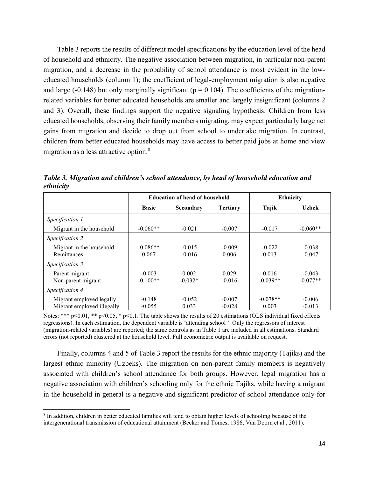Table 3 reports the results of different model specifications by the education level of the head of household and ethnicity. The negative association between migration, in particular non-parent migration, and a decrease in the probability of school attendance is most evident in the loweducated households (column 1); the coefficient of legal-employment migration is also negative and large (-0.148) but only marginally significant ( $p = 0.104$ ). The coefficients of the migrationrelated variables for better educated households are smaller and largely insignificant (columns 2 and 3). Overall, these findings support the negative signaling hypothesis. Children from less educated households, observing their family members migrating, may expect particularly large net gains from migration and decide to drop out from school to undertake migration. In contrast, children from better educated households may have access to better paid jobs at home and view migration as a less attractive option.<sup>8</sup>

|                            | <b>Education of head of household</b> |           |                 | <b>Ethnicity</b> |              |
|----------------------------|---------------------------------------|-----------|-----------------|------------------|--------------|
|                            | <b>Basic</b>                          | Secondary | <b>Tertiary</b> | Tajik            | <b>Uzbek</b> |
| Specification 1            |                                       |           |                 |                  |              |
| Migrant in the household   | $-0.060**$                            | $-0.021$  | $-0.007$        | $-0.017$         | $-0.060**$   |
| Specification 2            |                                       |           |                 |                  |              |
| Migrant in the household   | $-0.086**$                            | $-0.015$  | $-0.009$        | $-0.022$         | $-0.038$     |
| Remittances                | 0.067                                 | $-0.016$  | 0.006           | 0.013            | $-0.047$     |
| Specification 3            |                                       |           |                 |                  |              |
| Parent migrant             | $-0.003$                              | 0.002     | 0.029           | 0.016            | $-0.043$     |
| Non-parent migrant         | $-0.100**$                            | $-0.032*$ | $-0.016$        | $-0.039**$       | $-0.077**$   |
| Specification 4            |                                       |           |                 |                  |              |
| Migrant employed legally   | $-0.148$                              | $-0.052$  | $-0.007$        | $-0.078**$       | $-0.006$     |
| Migrant employed illegally | $-0.055$                              | 0.033     | $-0.028$        | 0.003            | $-0.013$     |

*Table 3. Migration and children's school attendance, by head of household education and ethnicity*

Notes: \*\*\* p<0.01, \*\* p<0.05, \* p<0.1. The table shows the results of 20 estimations (OLS individual fixed effects regressions). In each estimation, the dependent variable is 'attending school '. Only the regressors of interest (migration-related variables) are reported; the same controls as in Table 1 are included in all estimations. Standard errors (not reported) clustered at the household level. Full econometric output is available on request.

Finally, columns 4 and 5 of Table 3 report the results for the ethnic majority (Tajiks) and the largest ethnic minority (Uzbeks). The migration on non-parent family members is negatively associated with children's school attendance for both groups. However, legal migration has a negative association with children's schooling only for the ethnic Tajiks, while having a migrant in the household in general is a negative and significant predictor of school attendance only for

 $\overline{\phantom{a}}$ <sup>8</sup> In addition, children in better educated families will tend to obtain higher levels of schooling because of the intergenerational transmission of educational attainment (Becker and Tomes, 1986; Van Doorn et al., 2011).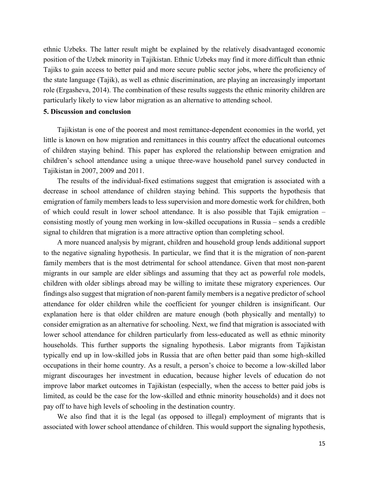ethnic Uzbeks. The latter result might be explained by the relatively disadvantaged economic position of the Uzbek minority in Tajikistan. Ethnic Uzbeks may find it more difficult than ethnic Tajiks to gain access to better paid and more secure public sector jobs, where the proficiency of the state language (Tajik), as well as ethnic discrimination, are playing an increasingly important role (Ergasheva, 2014). The combination of these results suggests the ethnic minority children are particularly likely to view labor migration as an alternative to attending school.

#### **5. Discussion and conclusion**

Tajikistan is one of the poorest and most remittance-dependent economies in the world, yet little is known on how migration and remittances in this country affect the educational outcomes of children staying behind. This paper has explored the relationship between emigration and children's school attendance using a unique three-wave household panel survey conducted in Tajikistan in 2007, 2009 and 2011.

The results of the individual-fixed estimations suggest that emigration is associated with a decrease in school attendance of children staying behind. This supports the hypothesis that emigration of family members leads to less supervision and more domestic work for children, both of which could result in lower school attendance. It is also possible that Tajik emigration – consisting mostly of young men working in low-skilled occupations in Russia – sends a credible signal to children that migration is a more attractive option than completing school.

A more nuanced analysis by migrant, children and household group lends additional support to the negative signaling hypothesis. In particular, we find that it is the migration of non-parent family members that is the most detrimental for school attendance. Given that most non-parent migrants in our sample are elder siblings and assuming that they act as powerful role models, children with older siblings abroad may be willing to imitate these migratory experiences. Our findings also suggest that migration of non-parent family members is a negative predictor of school attendance for older children while the coefficient for younger children is insignificant. Our explanation here is that older children are mature enough (both physically and mentally) to consider emigration as an alternative for schooling. Next, we find that migration is associated with lower school attendance for children particularly from less-educated as well as ethnic minority households. This further supports the signaling hypothesis. Labor migrants from Tajikistan typically end up in low-skilled jobs in Russia that are often better paid than some high-skilled occupations in their home country. As a result, a person's choice to become a low-skilled labor migrant discourages her investment in education, because higher levels of education do not improve labor market outcomes in Tajikistan (especially, when the access to better paid jobs is limited, as could be the case for the low-skilled and ethnic minority households) and it does not pay off to have high levels of schooling in the destination country.

We also find that it is the legal (as opposed to illegal) employment of migrants that is associated with lower school attendance of children. This would support the signaling hypothesis,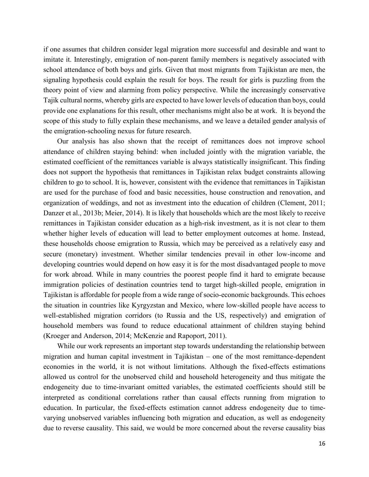if one assumes that children consider legal migration more successful and desirable and want to imitate it. Interestingly, emigration of non-parent family members is negatively associated with school attendance of both boys and girls. Given that most migrants from Tajikistan are men, the signaling hypothesis could explain the result for boys. The result for girls is puzzling from the theory point of view and alarming from policy perspective. While the increasingly conservative Tajik cultural norms, whereby girls are expected to have lower levels of education than boys, could provide one explanations for this result, other mechanisms might also be at work. It is beyond the scope of this study to fully explain these mechanisms, and we leave a detailed gender analysis of the emigration-schooling nexus for future research.

Our analysis has also shown that the receipt of remittances does not improve school attendance of children staying behind: when included jointly with the migration variable, the estimated coefficient of the remittances variable is always statistically insignificant. This finding does not support the hypothesis that remittances in Tajikistan relax budget constraints allowing children to go to school. It is, however, consistent with the evidence that remittances in Tajikistan are used for the purchase of food and basic necessities, house construction and renovation, and organization of weddings, and not as investment into the education of children (Clement, 2011; Danzer et al., 2013b; Meier, 2014). It is likely that households which are the most likely to receive remittances in Tajikistan consider education as a high-risk investment, as it is not clear to them whether higher levels of education will lead to better employment outcomes at home. Instead, these households choose emigration to Russia, which may be perceived as a relatively easy and secure (monetary) investment. Whether similar tendencies prevail in other low-income and developing countries would depend on how easy it is for the most disadvantaged people to move for work abroad. While in many countries the poorest people find it hard to emigrate because immigration policies of destination countries tend to target high-skilled people, emigration in Tajikistan is affordable for people from a wide range of socio-economic backgrounds. This echoes the situation in countries like Kyrgyzstan and Mexico, where low-skilled people have access to well-established migration corridors (to Russia and the US, respectively) and emigration of household members was found to reduce educational attainment of children staying behind (Kroeger and Anderson, 2014; McKenzie and Rapoport, 2011).

While our work represents an important step towards understanding the relationship between migration and human capital investment in Tajikistan – one of the most remittance-dependent economies in the world, it is not without limitations. Although the fixed-effects estimations allowed us control for the unobserved child and household heterogeneity and thus mitigate the endogeneity due to time-invariant omitted variables, the estimated coefficients should still be interpreted as conditional correlations rather than causal effects running from migration to education. In particular, the fixed-effects estimation cannot address endogeneity due to timevarying unobserved variables influencing both migration and education, as well as endogeneity due to reverse causality. This said, we would be more concerned about the reverse causality bias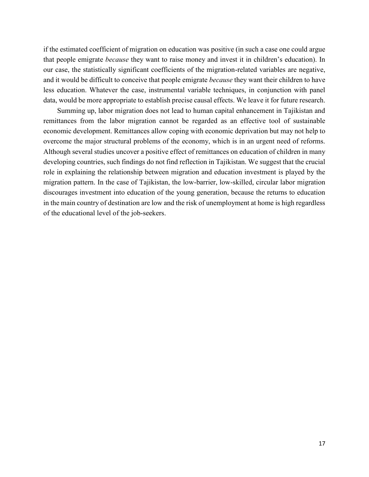if the estimated coefficient of migration on education was positive (in such a case one could argue that people emigrate *because* they want to raise money and invest it in children's education). In our case, the statistically significant coefficients of the migration-related variables are negative, and it would be difficult to conceive that people emigrate *because* they want their children to have less education. Whatever the case, instrumental variable techniques, in conjunction with panel data, would be more appropriate to establish precise causal effects. We leave it for future research.

Summing up, labor migration does not lead to human capital enhancement in Tajikistan and remittances from the labor migration cannot be regarded as an effective tool of sustainable economic development. Remittances allow coping with economic deprivation but may not help to overcome the major structural problems of the economy, which is in an urgent need of reforms. Although several studies uncover a positive effect of remittances on education of children in many developing countries, such findings do not find reflection in Tajikistan. We suggest that the crucial role in explaining the relationship between migration and education investment is played by the migration pattern. In the case of Tajikistan, the low-barrier, low-skilled, circular labor migration discourages investment into education of the young generation, because the returns to education in the main country of destination are low and the risk of unemployment at home is high regardless of the educational level of the job-seekers.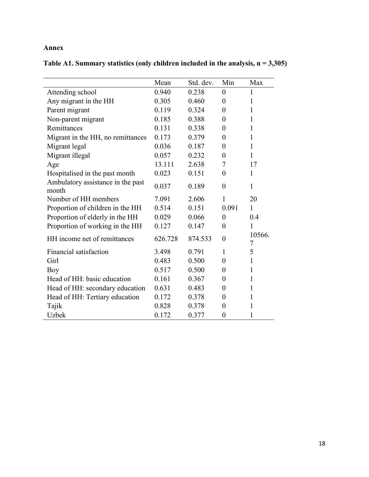### **Annex**

**Table A1. Summary statistics (only children included in the analysis, n = 3,305)**

|                                            | Mean    | Std. dev. | Min              | Max          |
|--------------------------------------------|---------|-----------|------------------|--------------|
| Attending school                           | 0.940   | 0.238     | $\theta$         | 1            |
| Any migrant in the HH                      | 0.305   | 0.460     | $\boldsymbol{0}$ | 1            |
| Parent migrant                             | 0.119   | 0.324     | $\overline{0}$   | $\mathbf{1}$ |
| Non-parent migrant                         | 0.185   | 0.388     | $\overline{0}$   | 1            |
| Remittances                                | 0.131   | 0.338     | $\overline{0}$   | 1            |
| Migrant in the HH, no remittances          | 0.173   | 0.379     | $\overline{0}$   | $\mathbf{1}$ |
| Migrant legal                              | 0.036   | 0.187     | $\boldsymbol{0}$ | $\mathbf{1}$ |
| Migrant illegal                            | 0.057   | 0.232     | $\overline{0}$   | $\mathbf{1}$ |
| Age                                        | 13.111  | 2.638     | 7                | 17           |
| Hospitalised in the past month             | 0.023   | 0.151     | $\boldsymbol{0}$ | $\mathbf{1}$ |
| Ambulatory assistance in the past<br>month | 0.037   | 0.189     | $\overline{0}$   | $\mathbf{1}$ |
| Number of HH members                       | 7.091   | 2.606     | 1                | 20           |
| Proportion of children in the HH           | 0.514   | 0.151     | 0.091            | $\mathbf{1}$ |
| Proportion of elderly in the HH            | 0.029   | 0.066     | $\theta$         | 0.4          |
| Proportion of working in the HH            | 0.127   | 0.147     | $\overline{0}$   | 1            |
| HH income net of remittances               | 626.728 | 874.533   | $\overline{0}$   | 10566.<br>7  |
| Financial satisfaction                     | 3.498   | 0.791     | 1                | 5            |
| Girl                                       | 0.483   | 0.500     | $\overline{0}$   | $\mathbf{1}$ |
| Boy                                        | 0.517   | 0.500     | $\overline{0}$   | 1            |
| Head of HH: basic education                | 0.161   | 0.367     | $\overline{0}$   | $\mathbf{1}$ |
| Head of HH: secondary education            | 0.631   | 0.483     | 0                | $\mathbf{1}$ |
| Head of HH: Tertiary education             | 0.172   | 0.378     | 0                | 1            |
| Tajik                                      | 0.828   | 0.378     | $\overline{0}$   | 1            |
| <b>Uzbek</b>                               | 0.172   | 0.377     | $\overline{0}$   | 1            |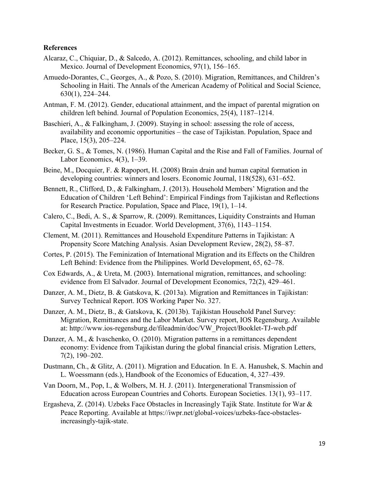#### **References**

- Alcaraz, C., Chiquiar, D., & Salcedo, A. (2012). Remittances, schooling, and child labor in Mexico. Journal of Development Economics, 97(1), 156–165.
- Amuedo-Dorantes, C., Georges, A., & Pozo, S. (2010). Migration, Remittances, and Children's Schooling in Haiti. The Annals of the American Academy of Political and Social Science, 630(1), 224–244.
- Antman, F. M. (2012). Gender, educational attainment, and the impact of parental migration on children left behind. Journal of Population Economics, 25(4), 1187–1214.
- Baschieri, A., & Falkingham, J. (2009). Staving in school: assessing the role of access, availability and economic opportunities – the case of Tajikistan. Population, Space and Place, 15(3), 205–224.
- Becker, G. S., & Tomes, N. (1986). Human Capital and the Rise and Fall of Families. Journal of Labor Economics, 4(3), 1–39.
- Beine, M., Docquier, F. & Rapoport, H. (2008) Brain drain and human capital formation in developing countries: winners and losers. Economic Journal, 118(528), 631–652.
- Bennett, R., Clifford, D., & Falkingham, J. (2013). Household Members' Migration and the Education of Children 'Left Behind': Empirical Findings from Tajikistan and Reflections for Research Practice. Population, Space and Place, 19(1), 1–14.
- Calero, C., Bedi, A. S., & Sparrow, R. (2009). Remittances, Liquidity Constraints and Human Capital Investments in Ecuador. World Development, 37(6), 1143–1154.
- Clement, M. (2011). Remittances and Household Expenditure Patterns in Tajikistan: A Propensity Score Matching Analysis. Asian Development Review, 28(2), 58–87.
- Cortes, P. (2015). The Feminization of International Migration and its Effects on the Children Left Behind: Evidence from the Philippines. World Development, 65, 62–78.
- Cox Edwards, A., & Ureta, M. (2003). International migration, remittances, and schooling: evidence from El Salvador. Journal of Development Economics, 72(2), 429–461.
- Danzer, A. M., Dietz, B. & Gatskova, K. (2013a). Migration and Remittances in Tajikistan: Survey Technical Report. IOS Working Paper No. 327.
- Danzer, A. M., Dietz, B., & Gatskova, K. (2013b). Tajikistan Household Panel Survey: Migration, Remittances and the Labor Market. Survey report, IOS Regensburg. Available at: http://www.ios-regensburg.de/fileadmin/doc/VW\_Project/Booklet-TJ-web.pdf
- Danzer, A. M., & Ivaschenko, O. (2010). Migration patterns in a remittances dependent economy: Evidence from Tajikistan during the global financial crisis. Migration Letters, 7(2), 190–202.
- Dustmann, Ch., & Glitz, A. (2011). Migration and Education. In E. A. Hanushek, S. Machin and L. Woessmann (eds.), Handbook of the Economics of Education, 4, 327–439.
- Van Doorn, M., Pop, I., & Wolbers, M. H. J. (2011). Intergenerational Transmission of Education across European Countries and Cohorts. European Societies. 13(1), 93–117.
- Ergasheva, Z. (2014). Uzbeks Face Obstacles in Increasingly Tajik State. Institute for War & Peace Reporting. Available at [https://iwpr.net/global-voices/uzbeks-face-obstacles](https://iwpr.net/global-voices/uzbeks-face-obstacles-increasingly-tajik-state)[increasingly-tajik-state.](https://iwpr.net/global-voices/uzbeks-face-obstacles-increasingly-tajik-state)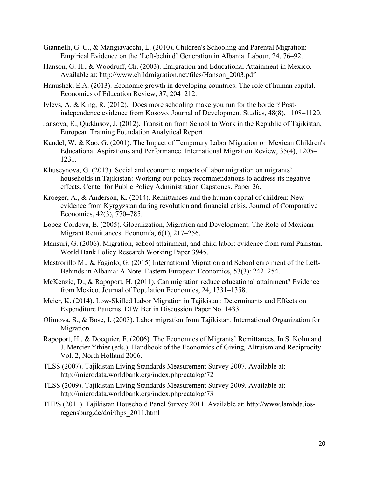- Giannelli, G. C., & Mangiavacchi, L. (2010), Children's Schooling and Parental Migration: Empirical Evidence on the 'Left-behind' Generation in Albania. Labour, 24, 76–92.
- Hanson, G. H., & Woodruff, Ch. (2003). Emigration and Educational Attainment in Mexico. Available at: [http://www.childmigration.net/files/Hanson\\_2003.pdf](http://www.childmigration.net/files/Hanson_2003.pdf)
- Hanushek, E.A. (2013). Economic growth in developing countries: The role of human capital. Economics of Education Review, 37, 204–212.
- Ivlevs, A. & King, R. (2012). Does more schooling make you run for the border? Postindependence evidence from Kosovo. Journal of Development Studies, 48(8), 1108–1120.
- Jansova, E., Quddusov, J. (2012). Transition from School to Work in the Republic of Tajikistan, European Training Foundation Analytical Report.
- Kandel, W. & Kao, G. (2001). The Impact of Temporary Labor Migration on Mexican Children's Educational Aspirations and Performance. International Migration Review, 35(4), 1205– 1231.
- Khuseynova, G. (2013). Social and economic impacts of labor migration on migrants' households in Tajikistan: Working out policy recommendations to address its negative effects. Center for Public Policy Administration Capstones. Paper 26.
- Kroeger, A., & Anderson, K. (2014). Remittances and the human capital of children: New evidence from Kyrgyzstan during revolution and financial crisis. Journal of Comparative Economics, 42(3), 770–785.
- Lopez-Cordova, E. (2005). Globalization, Migration and Development: The Role of Mexican Migrant Remittances. Economía, 6(1), 217–256.
- Mansuri, G. (2006). Migration, school attainment, and child labor: evidence from rural Pakistan. World Bank Policy Research Working Paper 3945.
- Mastrorillo M., & Fagiolo, G. (2015) [International Migration and School enrolment of the Left-](http://www.tandfonline.com/doi/abs/10.1080/00128775.2015.1033244)[Behinds in Albania: A Note.](http://www.tandfonline.com/doi/abs/10.1080/00128775.2015.1033244) [Eastern European Economics,](http://www.tandfonline.com/toc/meee20/53/3) 53(3): 242–254.
- McKenzie, D., & Rapoport, H. (2011). Can migration reduce educational attainment? Evidence from Mexico. Journal of Population Economics, 24, 1331–1358.
- Meier, K. (2014). Low-Skilled Labor Migration in Tajikistan: Determinants and Effects on Expenditure Patterns. DIW Berlin Discussion Paper No. 1433.
- Olimova, S., & Bosc, I. (2003). Labor migration from Tajikistan. International Organization for Migration.
- Rapoport, H., & Docquier, F. (2006). The Economics of Migrants' Remittances. In S. Kolm and J. Mercier Ythier (eds.), Handbook of the Economics of Giving, Altruism and Reciprocity Vol. 2, North Holland 2006.
- TLSS (2007). Tajikistan Living Standards Measurement Survey 2007. Available at: http://microdata.worldbank.org/index.php/catalog/72
- TLSS (2009). Tajikistan Living Standards Measurement Survey 2009. Available at: <http://microdata.worldbank.org/index.php/catalog/73>
- THPS (2011). Tajikistan Household Panel Survey 2011. Available at: http://www.lambda.iosregensburg.de/doi/thps\_2011.html